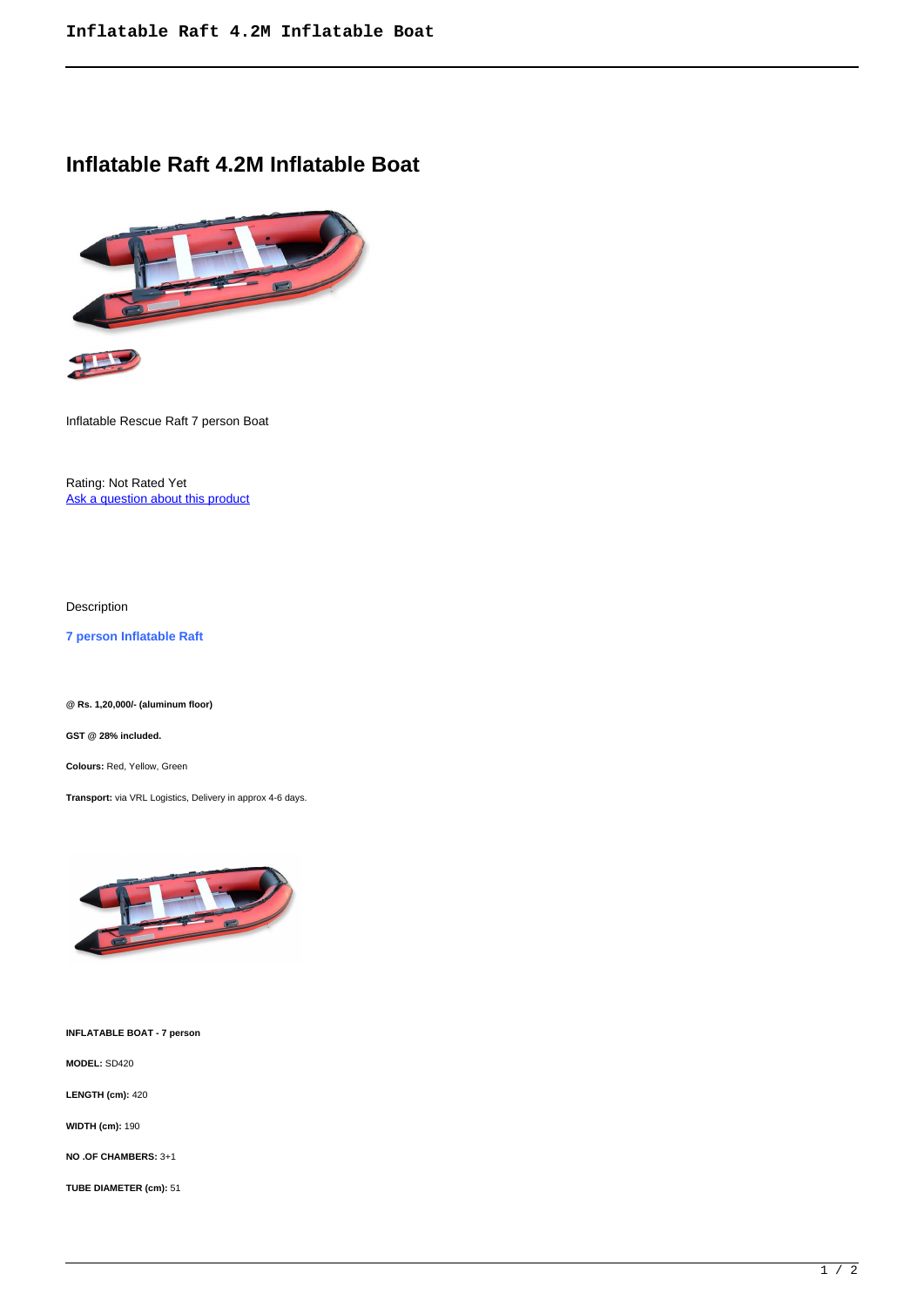## **Inflatable Raft 4.2M Inflatable Boat**



Inflatable Rescue Raft 7 person Boat

Rating: Not Rated Yet Ask a question about this product

Description

**7 person Inflatable Raft** 

**@ Rs. 1,20,000/- (aluminum floor)**

**GST @ 28% included.**

**Colours:** Red, Yellow, Green

**Transport:** via VRL Logistics, Delivery in approx 4-6 days.



**INFLATABLE BOAT - 7 person**

**MODEL:** SD420

**LENGTH (cm):** 420

**WIDTH (cm):** 190

**NO .OF CHAMBERS:** 3+1

**TUBE DIAMETER (cm):** 51